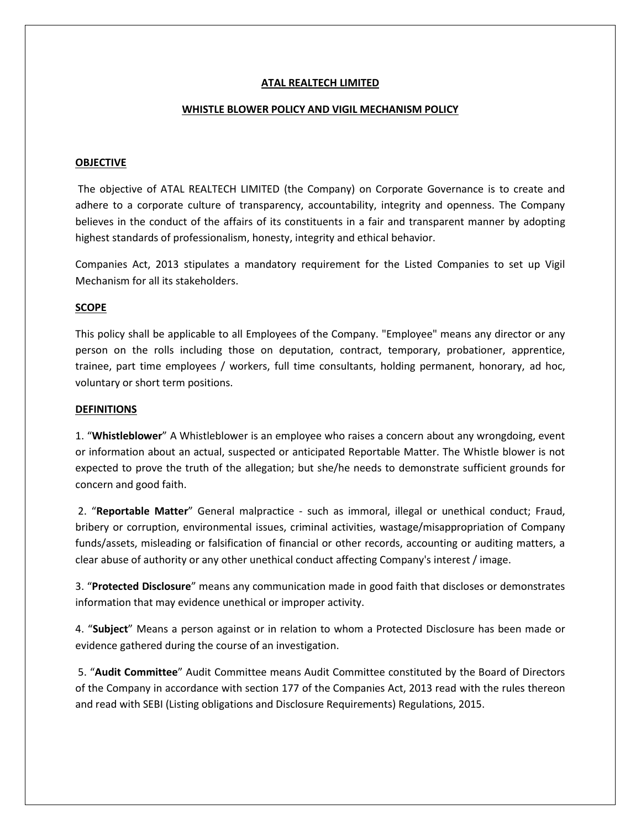## **ATAL REALTECH LIMITED**

### **WHISTLE BLOWER POLICY AND VIGIL MECHANISM POLICY**

### **OBJECTIVE**

 The objective of ATAL REALTECH LIMITED (the Company) on Corporate Governance is to create and adhere to a corporate culture of transparency, accountability, integrity and openness. The Company believes in the conduct of the affairs of its constituents in a fair and transparent manner by adopting highest standards of professionalism, honesty, integrity and ethical behavior.

Companies Act, 2013 stipulates a mandatory requirement for the Listed Companies to set up Vigil Mechanism for all its stakeholders.

### **SCOPE**

This policy shall be applicable to all Employees of the Company. "Employee" means any director or any person on the rolls including those on deputation, contract, temporary, probationer, apprentice, trainee, part time employees / workers, full time consultants, holding permanent, honorary, ad hoc, voluntary or short term positions.

#### **DEFINITIONS**

1. "**Whistleblower**" A Whistleblower is an employee who raises a concern about any wrongdoing, event or information about an actual, suspected or anticipated Reportable Matter. The Whistle blower is not expected to prove the truth of the allegation; but she/he needs to demonstrate sufficient grounds for concern and good faith.

 2. "**Reportable Matter**" General malpractice - such as immoral, illegal or unethical conduct; Fraud, bribery or corruption, environmental issues, criminal activities, wastage/misappropriation of Company funds/assets, misleading or falsification of financial or other records, accounting or auditing matters, a clear abuse of authority or any other unethical conduct affecting Company's interest / image.

3. "**Protected Disclosure**" means any communication made in good faith that discloses or demonstrates information that may evidence unethical or improper activity.

4. "**Subject**" Means a person against or in relation to whom a Protected Disclosure has been made or evidence gathered during the course of an investigation.

 5. "**Audit Committee**" Audit Committee means Audit Committee constituted by the Board of Directors of the Company in accordance with section 177 of the Companies Act, 2013 read with the rules thereon and read with SEBI (Listing obligations and Disclosure Requirements) Regulations, 2015.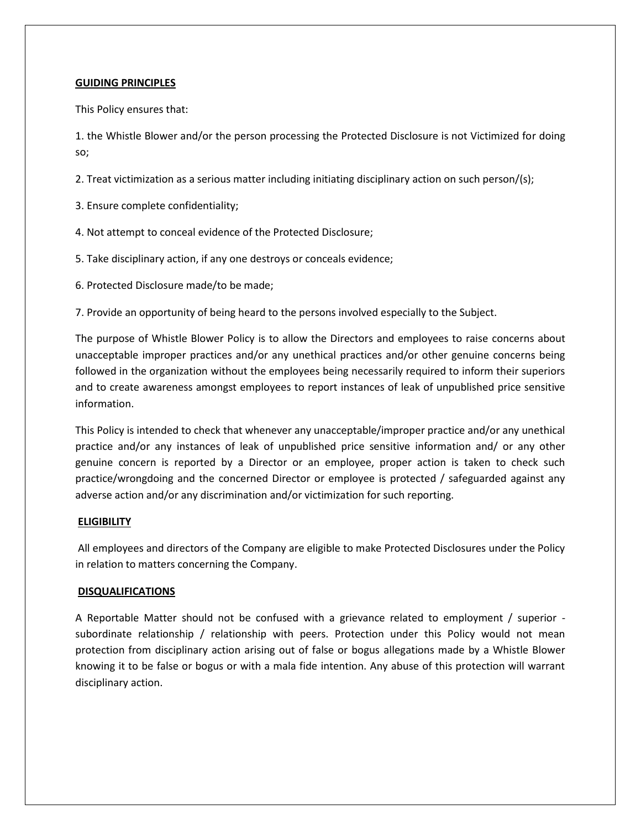## **GUIDING PRINCIPLES**

This Policy ensures that:

1. the Whistle Blower and/or the person processing the Protected Disclosure is not Victimized for doing so;

2. Treat victimization as a serious matter including initiating disciplinary action on such person/(s);

- 3. Ensure complete confidentiality;
- 4. Not attempt to conceal evidence of the Protected Disclosure;
- 5. Take disciplinary action, if any one destroys or conceals evidence;
- 6. Protected Disclosure made/to be made;

7. Provide an opportunity of being heard to the persons involved especially to the Subject.

The purpose of Whistle Blower Policy is to allow the Directors and employees to raise concerns about unacceptable improper practices and/or any unethical practices and/or other genuine concerns being followed in the organization without the employees being necessarily required to inform their superiors and to create awareness amongst employees to report instances of leak of unpublished price sensitive information.

This Policy is intended to check that whenever any unacceptable/improper practice and/or any unethical practice and/or any instances of leak of unpublished price sensitive information and/ or any other genuine concern is reported by a Director or an employee, proper action is taken to check such practice/wrongdoing and the concerned Director or employee is protected / safeguarded against any adverse action and/or any discrimination and/or victimization for such reporting.

### **ELIGIBILITY**

 All employees and directors of the Company are eligible to make Protected Disclosures under the Policy in relation to matters concerning the Company.

### **DISQUALIFICATIONS**

A Reportable Matter should not be confused with a grievance related to employment / superior subordinate relationship / relationship with peers. Protection under this Policy would not mean protection from disciplinary action arising out of false or bogus allegations made by a Whistle Blower knowing it to be false or bogus or with a mala fide intention. Any abuse of this protection will warrant disciplinary action.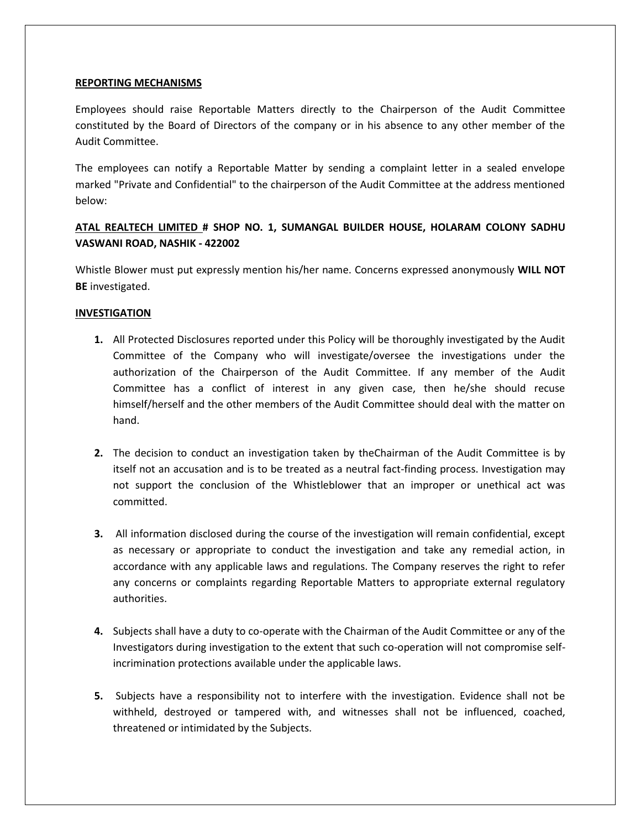## **REPORTING MECHANISMS**

Employees should raise Reportable Matters directly to the Chairperson of the Audit Committee constituted by the Board of Directors of the company or in his absence to any other member of the Audit Committee.

The employees can notify a Reportable Matter by sending a complaint letter in a sealed envelope marked "Private and Confidential" to the chairperson of the Audit Committee at the address mentioned below:

# **ATAL REALTECH LIMITED # SHOP NO. 1, SUMANGAL BUILDER HOUSE, HOLARAM COLONY SADHU VASWANI ROAD, NASHIK - 422002**

Whistle Blower must put expressly mention his/her name. Concerns expressed anonymously **WILL NOT BE** investigated.

# **INVESTIGATION**

- **1.** All Protected Disclosures reported under this Policy will be thoroughly investigated by the Audit Committee of the Company who will investigate/oversee the investigations under the authorization of the Chairperson of the Audit Committee. If any member of the Audit Committee has a conflict of interest in any given case, then he/she should recuse himself/herself and the other members of the Audit Committee should deal with the matter on hand.
- **2.** The decision to conduct an investigation taken by theChairman of the Audit Committee is by itself not an accusation and is to be treated as a neutral fact-finding process. Investigation may not support the conclusion of the Whistleblower that an improper or unethical act was committed.
- **3.** All information disclosed during the course of the investigation will remain confidential, except as necessary or appropriate to conduct the investigation and take any remedial action, in accordance with any applicable laws and regulations. The Company reserves the right to refer any concerns or complaints regarding Reportable Matters to appropriate external regulatory authorities.
- **4.** Subjects shall have a duty to co-operate with the Chairman of the Audit Committee or any of the Investigators during investigation to the extent that such co-operation will not compromise selfincrimination protections available under the applicable laws.
- **5.** Subjects have a responsibility not to interfere with the investigation. Evidence shall not be withheld, destroyed or tampered with, and witnesses shall not be influenced, coached, threatened or intimidated by the Subjects.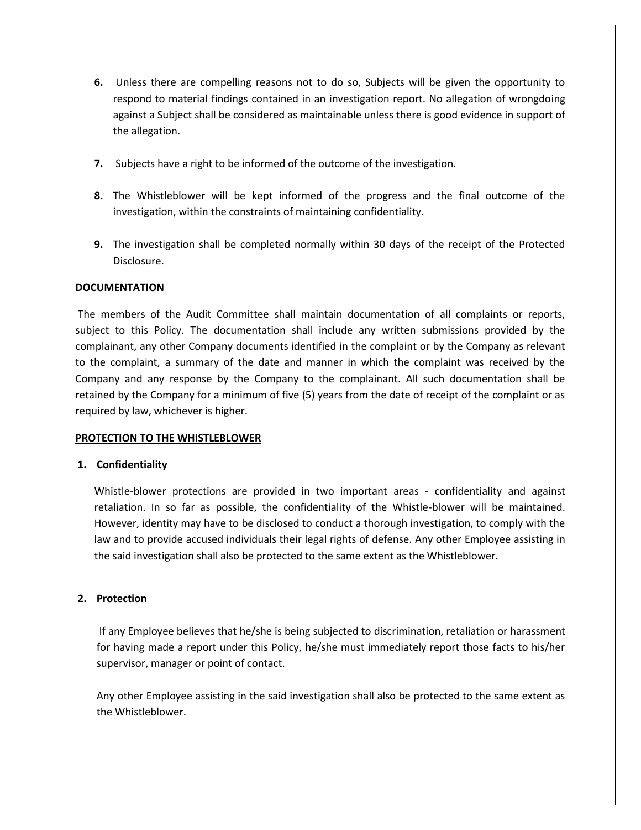- **6.** Unless there are compelling reasons not to do so, Subjects will be given the opportunity to respond to material findings contained in an investigation report. No allegation of wrongdoing against a Subject shall be considered as maintainable unless there is good evidence in support of the allegation.
- **7.** Subjects have a right to be informed of the outcome of the investigation.
- **8.** The Whistleblower will be kept informed of the progress and the final outcome of the investigation, within the constraints of maintaining confidentiality.
- **9.** The investigation shall be completed normally within 30 days of the receipt of the Protected Disclosure.

# **DOCUMENTATION**

 The members of the Audit Committee shall maintain documentation of all complaints or reports, subject to this Policy. The documentation shall include any written submissions provided by the complainant, any other Company documents identified in the complaint or by the Company as relevant to the complaint, a summary of the date and manner in which the complaint was received by the Company and any response by the Company to the complainant. All such documentation shall be retained by the Company for a minimum of five (5) years from the date of receipt of the complaint or as required by law, whichever is higher.

### **PROTECTION TO THE WHISTLEBLOWER**

# **1. Confidentiality**

Whistle-blower protections are provided in two important areas - confidentiality and against retaliation. In so far as possible, the confidentiality of the Whistle-blower will be maintained. However, identity may have to be disclosed to conduct a thorough investigation, to comply with the law and to provide accused individuals their legal rights of defense. Any other Employee assisting in the said investigation shall also be protected to the same extent as the Whistleblower.

### **2. Protection**

 If any Employee believes that he/she is being subjected to discrimination, retaliation or harassment for having made a report under this Policy, he/she must immediately report those facts to his/her supervisor, manager or point of contact.

Any other Employee assisting in the said investigation shall also be protected to the same extent as the Whistleblower.